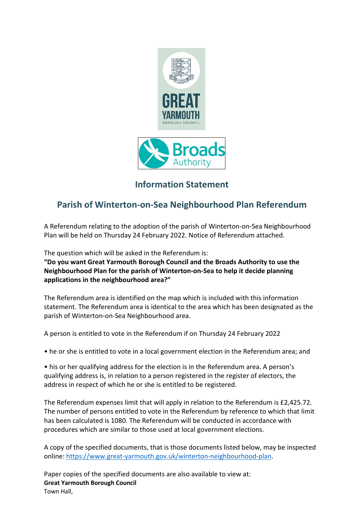

## **Information Statement**

## **Parish of Winterton-on-Sea Neighbourhood Plan Referendum**

A Referendum relating to the adoption of the parish of Winterton-on-Sea Neighbourhood Plan will be held on Thursday 24 February 2022. Notice of Referendum attached.

The question which will be asked in the Referendum is:

**"Do you want Great Yarmouth Borough Council and the Broads Authority to use the Neighbourhood Plan for the parish of Winterton-on-Sea to help it decide planning applications in the neighbourhood area?"** 

The Referendum area is identified on the map which is included with this information statement. The Referendum area is identical to the area which has been designated as the parish of Winterton-on-Sea Neighbourhood area.

A person is entitled to vote in the Referendum if on Thursday 24 February 2022

• he or she is entitled to vote in a local government election in the Referendum area; and

• his or her qualifying address for the election is in the Referendum area. A person's qualifying address is, in relation to a person registered in the register of electors, the address in respect of which he or she is entitled to be registered.

The Referendum expenses limit that will apply in relation to the Referendum is £2,425.72. The number of persons entitled to vote in the Referendum by reference to which that limit has been calculated is 1080. The Referendum will be conducted in accordance with procedures which are similar to those used at local government elections.

A copy of the specified documents, that is those documents listed below, may be inspected online: [https://www.great-yarmouth.gov.uk/winterton-neighbourhood-plan.](https://www.great-yarmouth.gov.uk/winterton-neighbourhood-plan)

Paper copies of the specified documents are also available to view at: **Great Yarmouth Borough Council** Town Hall,